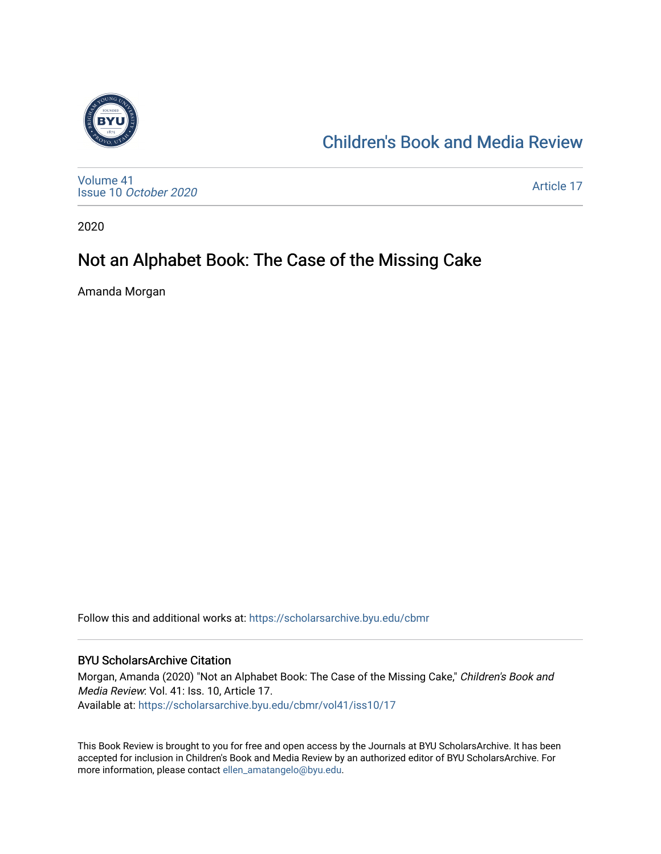

### [Children's Book and Media Review](https://scholarsarchive.byu.edu/cbmr)

[Volume 41](https://scholarsarchive.byu.edu/cbmr/vol41) Issue 10 [October 2020](https://scholarsarchive.byu.edu/cbmr/vol41/iss10)

[Article 17](https://scholarsarchive.byu.edu/cbmr/vol41/iss10/17) 

2020

# Not an Alphabet Book: The Case of the Missing Cake

Amanda Morgan

Follow this and additional works at: [https://scholarsarchive.byu.edu/cbmr](https://scholarsarchive.byu.edu/cbmr?utm_source=scholarsarchive.byu.edu%2Fcbmr%2Fvol41%2Fiss10%2F17&utm_medium=PDF&utm_campaign=PDFCoverPages) 

#### BYU ScholarsArchive Citation

Morgan, Amanda (2020) "Not an Alphabet Book: The Case of the Missing Cake," Children's Book and Media Review: Vol. 41: Iss. 10, Article 17. Available at: [https://scholarsarchive.byu.edu/cbmr/vol41/iss10/17](https://scholarsarchive.byu.edu/cbmr/vol41/iss10/17?utm_source=scholarsarchive.byu.edu%2Fcbmr%2Fvol41%2Fiss10%2F17&utm_medium=PDF&utm_campaign=PDFCoverPages) 

This Book Review is brought to you for free and open access by the Journals at BYU ScholarsArchive. It has been accepted for inclusion in Children's Book and Media Review by an authorized editor of BYU ScholarsArchive. For more information, please contact [ellen\\_amatangelo@byu.edu.](mailto:ellen_amatangelo@byu.edu)